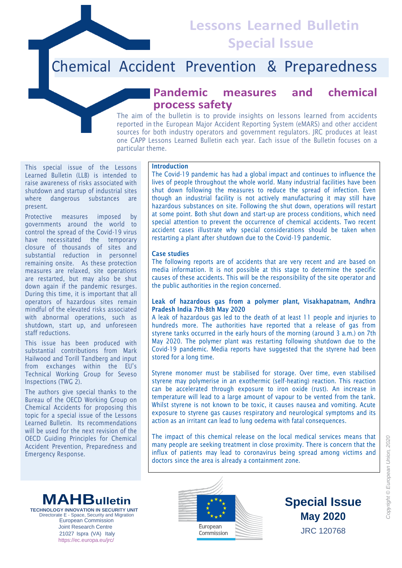**Lessons Learned Bulletin Special Issue**

# Chemical Accident Prevention & Preparedness

## **Pandemic measures and chemical process safety**

The aim of the bulletin is to provide insights on lessons learned from accidents reported in the European Major Accident Reporting System (eMARS) and other accident sources for both industry operators and government regulators. JRC produces at least one CAPP Lessons Learned Bulletin each year. Each issue of the Bulletin focuses on a particular theme.

This special issue of the Lessons Learned Bulletin (LLB) is intended to raise awareness of risks associated with shutdown and startup of industrial sites where dangerous substances are present.

Protective measures imposed by governments around the world to control the spread of the Covid-19 virus have necessitated the temporary closure of thousands of sites and substantial reduction in personnel remaining onsite. As these protection measures are relaxed, site operations are restarted, but may also be shut down again if the pandemic resurges. During this time, it is important that all operators of hazardous sites remain mindful of the elevated risks associated with abnormal operations, such as shutdown, start up, and unforeseen staff reductions.

This issue has been produced with substantial contributions from Mark Hailwood and Torill Tandberg and input from exchanges within the EU's Technical Working Group for Seveso Inspections (TWG 2).

The authors give special thanks to the Bureau of the OECD Working Group on Chemical Accidents for proposing this topic for a special issue of the Lessons Learned Bulletin. Its recommendations will be used for the next revision of the OECD Guiding Principles for Chemical Accident Prevention, Preparedness and Emergency Response.

#### **Introduction**

The Covid-19 pandemic has had a global impact and continues to influence the lives of people throughout the whole world. Many industrial facilities have been shut down following the measures to reduce the spread of infection. Even though an industrial facility is not actively manufacturing it may still have hazardous substances on site. Following the shut down, operations will restart at some point. Both shut down and start-up are process conditions, which need special attention to prevent the occurrence of chemical accidents. Two recent accident cases illustrate why special considerations should be taken when restarting a plant after shutdown due to the Covid-19 pandemic.

#### **Case studies**

The following reports are of accidents that are very recent and are based on media information. It is not possible at this stage to determine the specific causes of these accidents. This will be the responsibility of the site operator and the public authorities in the region concerned.

#### **Leak of hazardous gas from a polymer plant, Visakhapatnam, Andhra Pradesh India 7th-8th May 2020**

A leak of hazardous gas led to the death of at least 11 people and injuries to hundreds more. The authorities have reported that a release of gas from styrene tanks occurred in the early hours of the morning (around 3 a.m.) on 7th May 2020. The polymer plant was restarting following shutdown due to the Covid-19 pandemic. Media reports have suggested that the styrene had been stored for a long time.

Styrene monomer must be stabilised for storage. Over time, even stabilised styrene may polymerise in an exothermic (self-heating) reaction. This reaction can be accelerated through exposure to iron oxide (rust). An increase in temperature will lead to a large amount of vapour to be vented from the tank. Whilst styrene is not known to be toxic, it causes nausea and vomiting. Acute exposure to styrene gas causes respiratory and neurological symptoms and its action as an irritant can lead to lung oedema with fatal consequences.

The impact of this chemical release on the local medical services means that many people are seeking treatment in close proximity. There is concern that the influx of patients may lead to coronavirus being spread among victims and doctors since the area is already a containment zone.

**MAHBulletin TECHNOLOGY INNOVATION IN SECURITY UNIT** Directorate E - Space, Security and Migrati European Commission Joint Research Centre 21027 Ispra (VA) Italy https://ec.europa.eu/jrc/



**Special Issue May 2020** JRC 120768